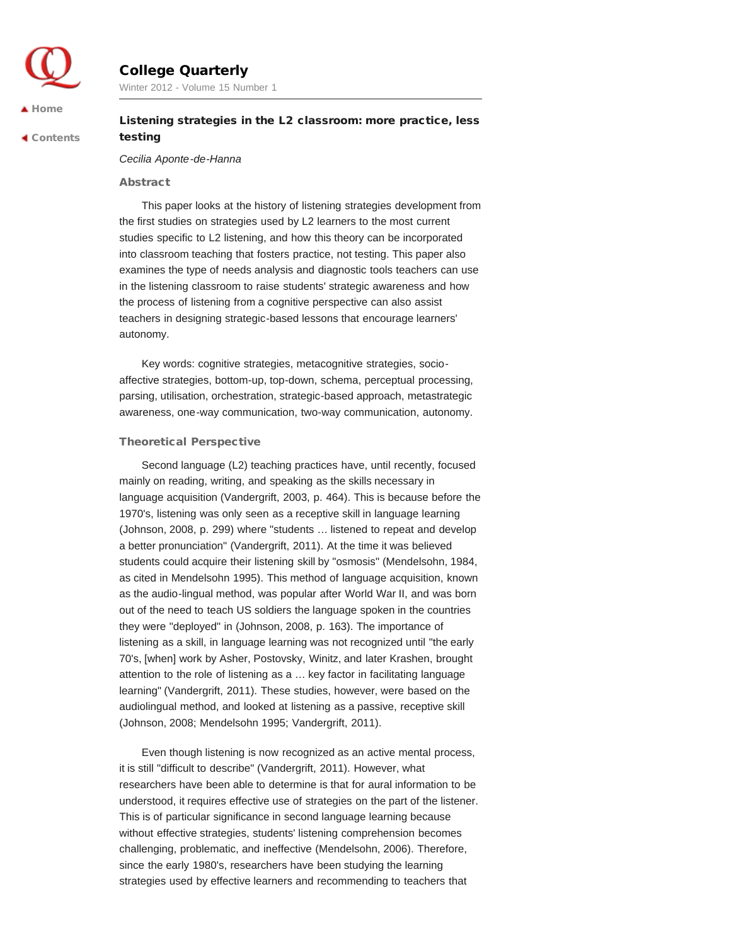

# College Quarterly

Winter 2012 - Volume 15 Number 1

 [Contents](http://collegequarterly.ca/2012-vol15-num01-winter/index.html)

# Listening strategies in the L2 classroom: more practice, less testing

## *Cecilia Aponte-de-Hanna*

## Abstract

This paper looks at the history of listening strategies development from the first studies on strategies used by L2 learners to the most current studies specific to L2 listening, and how this theory can be incorporated into classroom teaching that fosters practice, not testing. This paper also examines the type of needs analysis and diagnostic tools teachers can use in the listening classroom to raise students' strategic awareness and how the process of listening from a cognitive perspective can also assist teachers in designing strategic-based lessons that encourage learners' autonomy.

Key words: cognitive strategies, metacognitive strategies, socioaffective strategies, bottom-up, top-down, schema, perceptual processing, parsing, utilisation, orchestration, strategic-based approach, metastrategic awareness, one-way communication, two-way communication, autonomy.

## Theoretical Perspective

Second language (L2) teaching practices have, until recently, focused mainly on reading, writing, and speaking as the skills necessary in language acquisition (Vandergrift, 2003, p. 464). This is because before the 1970's, listening was only seen as a receptive skill in language learning (Johnson, 2008, p. 299) where "students … listened to repeat and develop a better pronunciation" (Vandergrift, 2011). At the time it was believed students could acquire their listening skill by "osmosis" (Mendelsohn, 1984, as cited in Mendelsohn 1995). This method of language acquisition, known as the audio-lingual method, was popular after World War II, and was born out of the need to teach US soldiers the language spoken in the countries they were "deployed" in (Johnson, 2008, p. 163). The importance of listening as a skill, in language learning was not recognized until "the early 70's, [when] work by Asher, Postovsky, Winitz, and later Krashen, brought attention to the role of listening as a … key factor in facilitating language learning" (Vandergrift, 2011). These studies, however, were based on the audiolingual method, and looked at listening as a passive, receptive skill (Johnson, 2008; Mendelsohn 1995; Vandergrift, 2011).

Even though listening is now recognized as an active mental process, it is still "difficult to describe" (Vandergrift, 2011). However, what researchers have been able to determine is that for aural information to be understood, it requires effective use of strategies on the part of the listener. This is of particular significance in second language learning because without effective strategies, students' listening comprehension becomes challenging, problematic, and ineffective (Mendelsohn, 2006). Therefore, since the early 1980's, researchers have been studying the learning strategies used by effective learners and recommending to teachers that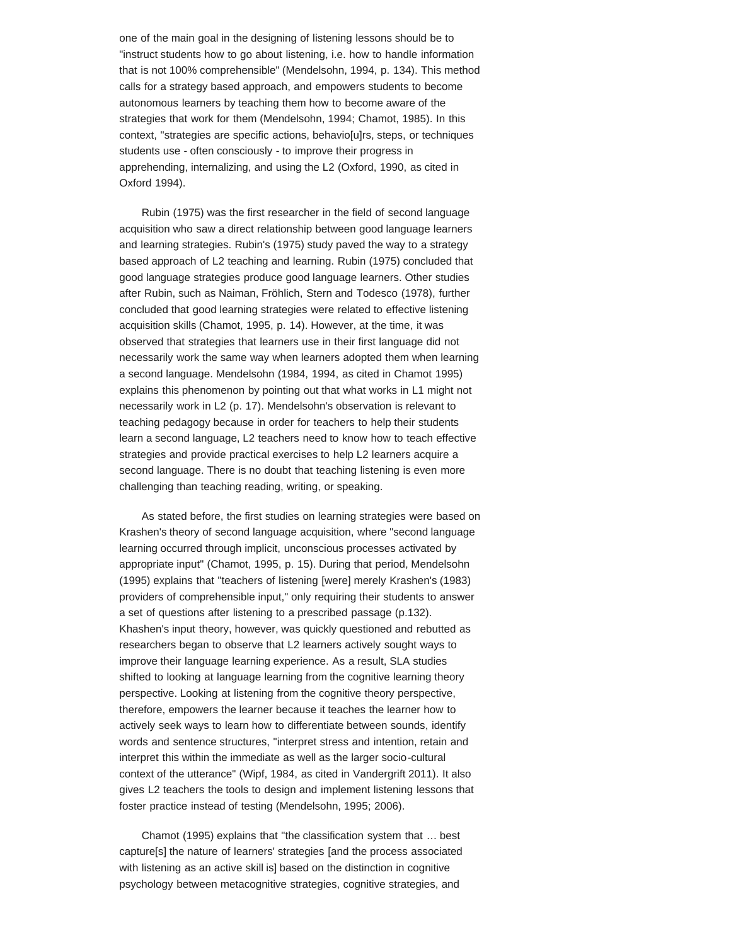one of the main goal in the designing of listening lessons should be to "instruct students how to go about listening, i.e. how to handle information that is not 100% comprehensible" (Mendelsohn, 1994, p. 134). This method calls for a strategy based approach, and empowers students to become autonomous learners by teaching them how to become aware of the strategies that work for them (Mendelsohn, 1994; Chamot, 1985). In this context, "strategies are specific actions, behavio[u]rs, steps, or techniques students use - often consciously - to improve their progress in apprehending, internalizing, and using the L2 (Oxford, 1990, as cited in Oxford 1994).

Rubin (1975) was the first researcher in the field of second language acquisition who saw a direct relationship between good language learners and learning strategies. Rubin's (1975) study paved the way to a strategy based approach of L2 teaching and learning. Rubin (1975) concluded that good language strategies produce good language learners. Other studies after Rubin, such as Naiman, Fröhlich, Stern and Todesco (1978), further concluded that good learning strategies were related to effective listening acquisition skills (Chamot, 1995, p. 14). However, at the time, it was observed that strategies that learners use in their first language did not necessarily work the same way when learners adopted them when learning a second language. Mendelsohn (1984, 1994, as cited in Chamot 1995) explains this phenomenon by pointing out that what works in L1 might not necessarily work in L2 (p. 17). Mendelsohn's observation is relevant to teaching pedagogy because in order for teachers to help their students learn a second language, L2 teachers need to know how to teach effective strategies and provide practical exercises to help L2 learners acquire a second language. There is no doubt that teaching listening is even more challenging than teaching reading, writing, or speaking.

As stated before, the first studies on learning strategies were based on Krashen's theory of second language acquisition, where "second language learning occurred through implicit, unconscious processes activated by appropriate input" (Chamot, 1995, p. 15). During that period, Mendelsohn (1995) explains that "teachers of listening [were] merely Krashen's (1983) providers of comprehensible input," only requiring their students to answer a set of questions after listening to a prescribed passage (p.132). Khashen's input theory, however, was quickly questioned and rebutted as researchers began to observe that L2 learners actively sought ways to improve their language learning experience. As a result, SLA studies shifted to looking at language learning from the cognitive learning theory perspective. Looking at listening from the cognitive theory perspective, therefore, empowers the learner because it teaches the learner how to actively seek ways to learn how to differentiate between sounds, identify words and sentence structures, "interpret stress and intention, retain and interpret this within the immediate as well as the larger socio-cultural context of the utterance" (Wipf, 1984, as cited in Vandergrift 2011). It also gives L2 teachers the tools to design and implement listening lessons that foster practice instead of testing (Mendelsohn, 1995; 2006).

Chamot (1995) explains that "the classification system that … best capture[s] the nature of learners' strategies [and the process associated with listening as an active skill is] based on the distinction in cognitive psychology between metacognitive strategies, cognitive strategies, and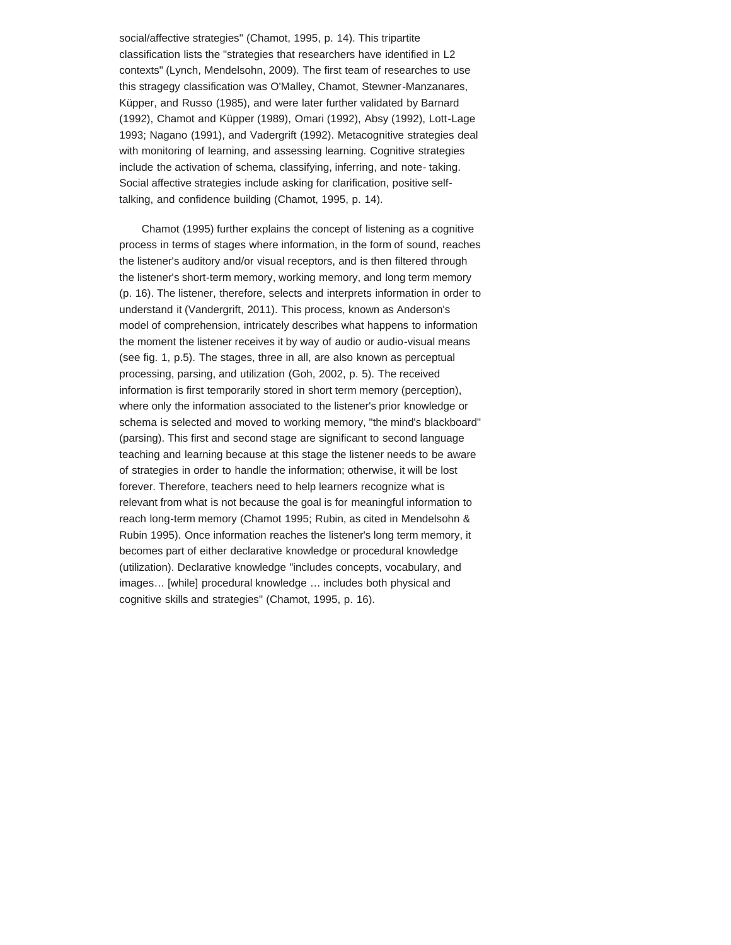social/affective strategies" (Chamot, 1995, p. 14). This tripartite classification lists the "strategies that researchers have identified in L2 contexts" (Lynch, Mendelsohn, 2009). The first team of researches to use this stragegy classification was O'Malley, Chamot, Stewner-Manzanares, Küpper, and Russo (1985), and were later further validated by Barnard (1992), Chamot and Küpper (1989), Omari (1992), Absy (1992), Lott-Lage 1993; Nagano (1991), and Vadergrift (1992). Metacognitive strategies deal with monitoring of learning, and assessing learning. Cognitive strategies include the activation of schema, classifying, inferring, and note- taking. Social affective strategies include asking for clarification, positive selftalking, and confidence building (Chamot, 1995, p. 14).

Chamot (1995) further explains the concept of listening as a cognitive process in terms of stages where information, in the form of sound, reaches the listener's auditory and/or visual receptors, and is then filtered through the listener's short-term memory, working memory, and long term memory (p. 16). The listener, therefore, selects and interprets information in order to understand it (Vandergrift, 2011). This process, known as Anderson's model of comprehension, intricately describes what happens to information the moment the listener receives it by way of audio or audio-visual means (see fig. 1, p.5). The stages, three in all, are also known as perceptual processing, parsing, and utilization (Goh, 2002, p. 5). The received information is first temporarily stored in short term memory (perception), where only the information associated to the listener's prior knowledge or schema is selected and moved to working memory, "the mind's blackboard" (parsing). This first and second stage are significant to second language teaching and learning because at this stage the listener needs to be aware of strategies in order to handle the information; otherwise, it will be lost forever. Therefore, teachers need to help learners recognize what is relevant from what is not because the goal is for meaningful information to reach long-term memory (Chamot 1995; Rubin, as cited in Mendelsohn & Rubin 1995). Once information reaches the listener's long term memory, it becomes part of either declarative knowledge or procedural knowledge (utilization). Declarative knowledge "includes concepts, vocabulary, and images… [while] procedural knowledge … includes both physical and cognitive skills and strategies" (Chamot, 1995, p. 16).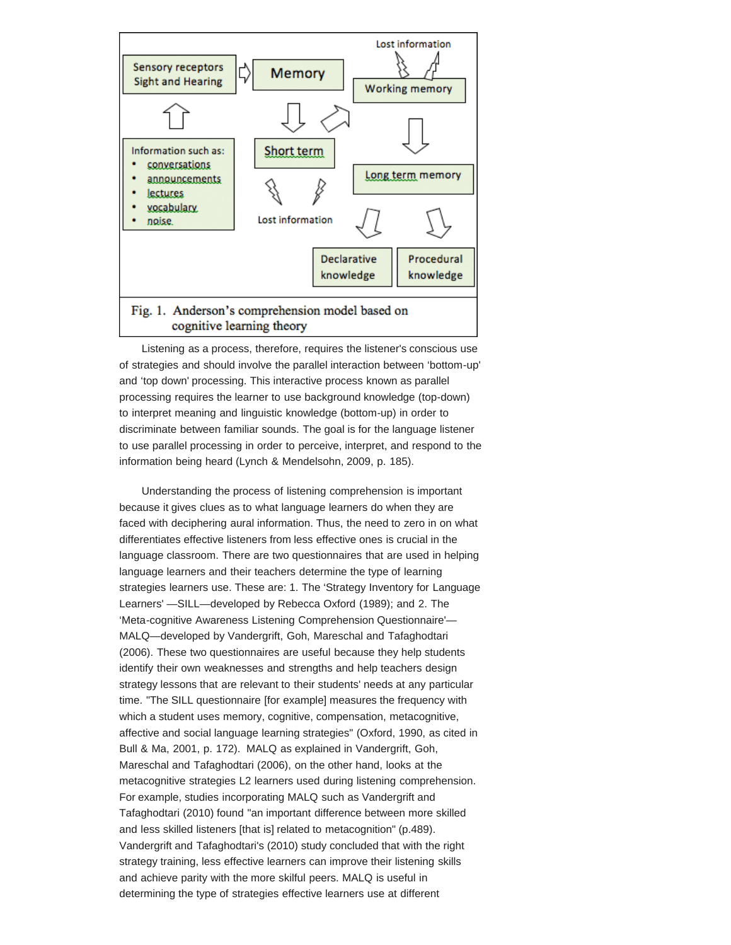

# cognitive learning theory

Listening as a process, therefore, requires the listener's conscious use of strategies and should involve the parallel interaction between 'bottom-up' and 'top down' processing. This interactive process known as parallel processing requires the learner to use background knowledge (top-down) to interpret meaning and linguistic knowledge (bottom-up) in order to discriminate between familiar sounds. The goal is for the language listener to use parallel processing in order to perceive, interpret, and respond to the information being heard (Lynch & Mendelsohn, 2009, p. 185).

Understanding the process of listening comprehension is important because it gives clues as to what language learners do when they are faced with deciphering aural information. Thus, the need to zero in on what differentiates effective listeners from less effective ones is crucial in the language classroom. There are two questionnaires that are used in helping language learners and their teachers determine the type of learning strategies learners use. These are: 1. The 'Strategy Inventory for Language Learners' —SILL—developed by Rebecca Oxford (1989); and 2. The 'Meta-cognitive Awareness Listening Comprehension Questionnaire'— MALQ—developed by Vandergrift, Goh, Mareschal and Tafaghodtari (2006). These two questionnaires are useful because they help students identify their own weaknesses and strengths and help teachers design strategy lessons that are relevant to their students' needs at any particular time. "The SILL questionnaire [for example] measures the frequency with which a student uses memory, cognitive, compensation, metacognitive, affective and social language learning strategies" (Oxford, 1990, as cited in Bull & Ma, 2001, p. 172). MALQ as explained in Vandergrift, Goh, Mareschal and Tafaghodtari (2006), on the other hand, looks at the metacognitive strategies L2 learners used during listening comprehension. For example, studies incorporating MALQ such as Vandergrift and Tafaghodtari (2010) found "an important difference between more skilled and less skilled listeners [that is] related to metacognition" (p.489). Vandergrift and Tafaghodtari's (2010) study concluded that with the right strategy training, less effective learners can improve their listening skills and achieve parity with the more skilful peers. MALQ is useful in determining the type of strategies effective learners use at different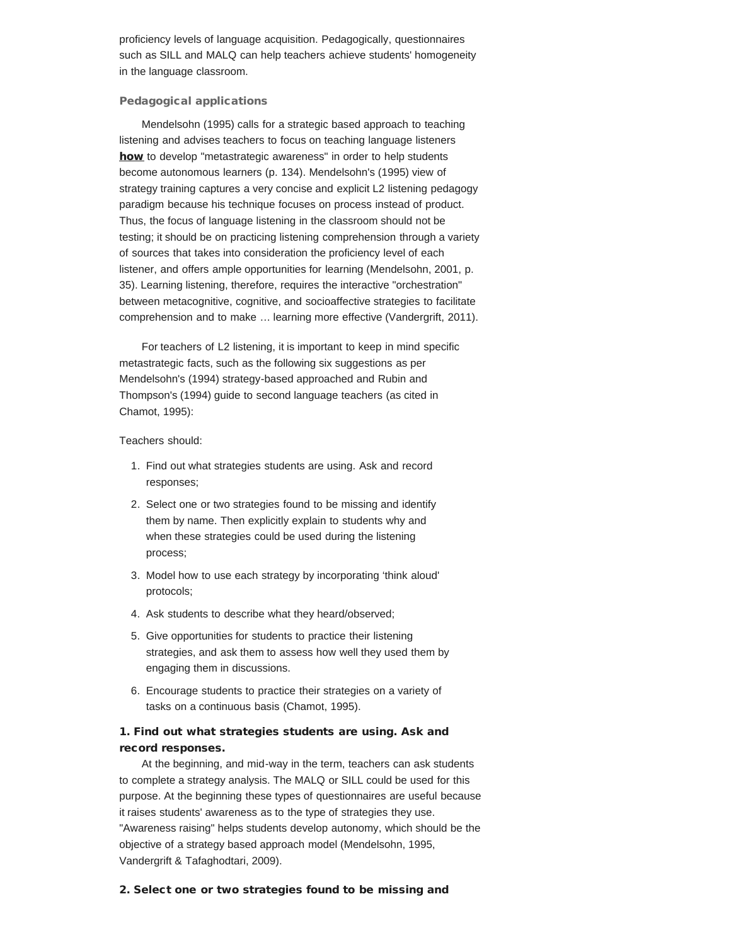proficiency levels of language acquisition. Pedagogically, questionnaires such as SILL and MALQ can help teachers achieve students' homogeneity in the language classroom.

## Pedagogical applications

Mendelsohn (1995) calls for a strategic based approach to teaching listening and advises teachers to focus on teaching language listeners how to develop "metastrategic awareness" in order to help students become autonomous learners (p. 134). Mendelsohn's (1995) view of strategy training captures a very concise and explicit L2 listening pedagogy paradigm because his technique focuses on process instead of product. Thus, the focus of language listening in the classroom should not be testing; it should be on practicing listening comprehension through a variety of sources that takes into consideration the proficiency level of each listener, and offers ample opportunities for learning (Mendelsohn, 2001, p. 35). Learning listening, therefore, requires the interactive "orchestration" between metacognitive, cognitive, and socioaffective strategies to facilitate comprehension and to make … learning more effective (Vandergrift, 2011).

For teachers of L2 listening, it is important to keep in mind specific metastrategic facts, such as the following six suggestions as per Mendelsohn's (1994) strategy-based approached and Rubin and Thompson's (1994) guide to second language teachers (as cited in Chamot, 1995):

## Teachers should:

- 1. Find out what strategies students are using. Ask and record responses;
- 2. Select one or two strategies found to be missing and identify them by name. Then explicitly explain to students why and when these strategies could be used during the listening process;
- 3. Model how to use each strategy by incorporating 'think aloud' protocols;
- 4. Ask students to describe what they heard/observed;
- 5. Give opportunities for students to practice their listening strategies, and ask them to assess how well they used them by engaging them in discussions.
- 6. Encourage students to practice their strategies on a variety of tasks on a continuous basis (Chamot, 1995).

# 1. Find out what strategies students are using. Ask and record responses.

At the beginning, and mid-way in the term, teachers can ask students to complete a strategy analysis. The MALQ or SILL could be used for this purpose. At the beginning these types of questionnaires are useful because it raises students' awareness as to the type of strategies they use. "Awareness raising" helps students develop autonomy, which should be the objective of a strategy based approach model (Mendelsohn, 1995, Vandergrift & Tafaghodtari, 2009).

### 2. Select one or two strategies found to be missing and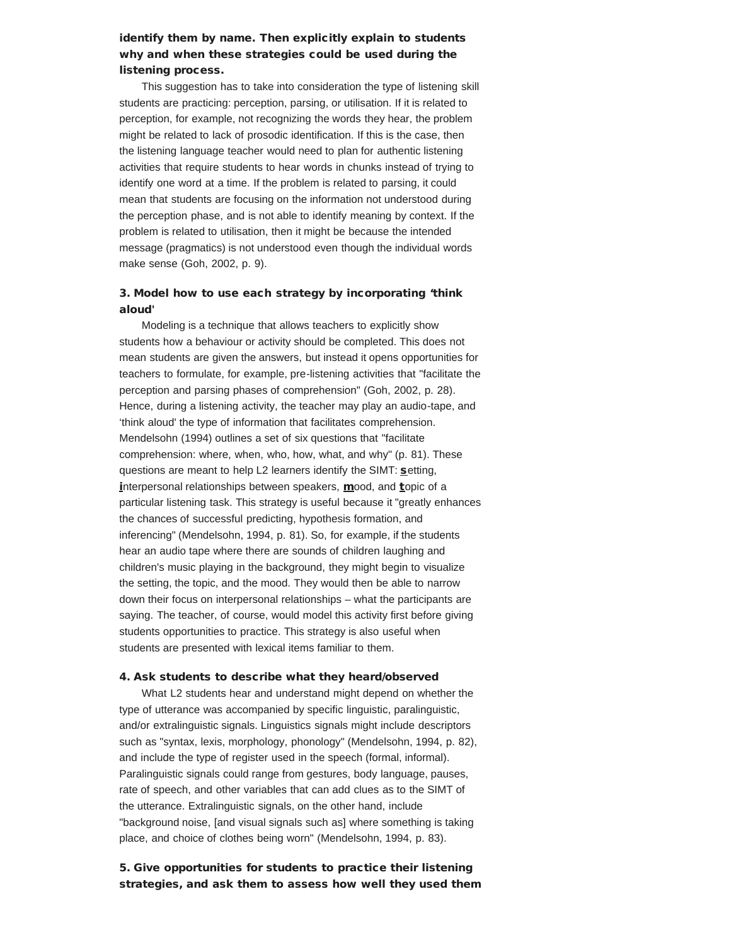# identify them by name. Then explicitly explain to students why and when these strategies could be used during the listening process.

This suggestion has to take into consideration the type of listening skill students are practicing: perception, parsing, or utilisation. If it is related to perception, for example, not recognizing the words they hear, the problem might be related to lack of prosodic identification. If this is the case, then the listening language teacher would need to plan for authentic listening activities that require students to hear words in chunks instead of trying to identify one word at a time. If the problem is related to parsing, it could mean that students are focusing on the information not understood during the perception phase, and is not able to identify meaning by context. If the problem is related to utilisation, then it might be because the intended message (pragmatics) is not understood even though the individual words make sense (Goh, 2002, p. 9).

# 3. Model how to use each strategy by incorporating 'think aloud'

Modeling is a technique that allows teachers to explicitly show students how a behaviour or activity should be completed. This does not mean students are given the answers, but instead it opens opportunities for teachers to formulate, for example, pre-listening activities that "facilitate the perception and parsing phases of comprehension" (Goh, 2002, p. 28). Hence, during a listening activity, the teacher may play an audio-tape, and 'think aloud' the type of information that facilitates comprehension. Mendelsohn (1994) outlines a set of six questions that "facilitate comprehension: where, when, who, how, what, and why" (p. 81). These questions are meant to help L2 learners identify the SIMT: setting, interpersonal relationships between speakers, mood, and topic of a particular listening task. This strategy is useful because it "greatly enhances the chances of successful predicting, hypothesis formation, and inferencing" (Mendelsohn, 1994, p. 81). So, for example, if the students hear an audio tape where there are sounds of children laughing and children's music playing in the background, they might begin to visualize the setting, the topic, and the mood. They would then be able to narrow down their focus on interpersonal relationships – what the participants are saying. The teacher, of course, would model this activity first before giving students opportunities to practice. This strategy is also useful when students are presented with lexical items familiar to them.

## 4. Ask students to describe what they heard/observed

What L2 students hear and understand might depend on whether the type of utterance was accompanied by specific linguistic, paralinguistic, and/or extralinguistic signals. Linguistics signals might include descriptors such as "syntax, lexis, morphology, phonology" (Mendelsohn, 1994, p. 82), and include the type of register used in the speech (formal, informal). Paralinguistic signals could range from gestures, body language, pauses, rate of speech, and other variables that can add clues as to the SIMT of the utterance. Extralinguistic signals, on the other hand, include "background noise, [and visual signals such as] where something is taking place, and choice of clothes being worn" (Mendelsohn, 1994, p. 83).

# 5. Give opportunities for students to practice their listening strategies, and ask them to assess how well they used them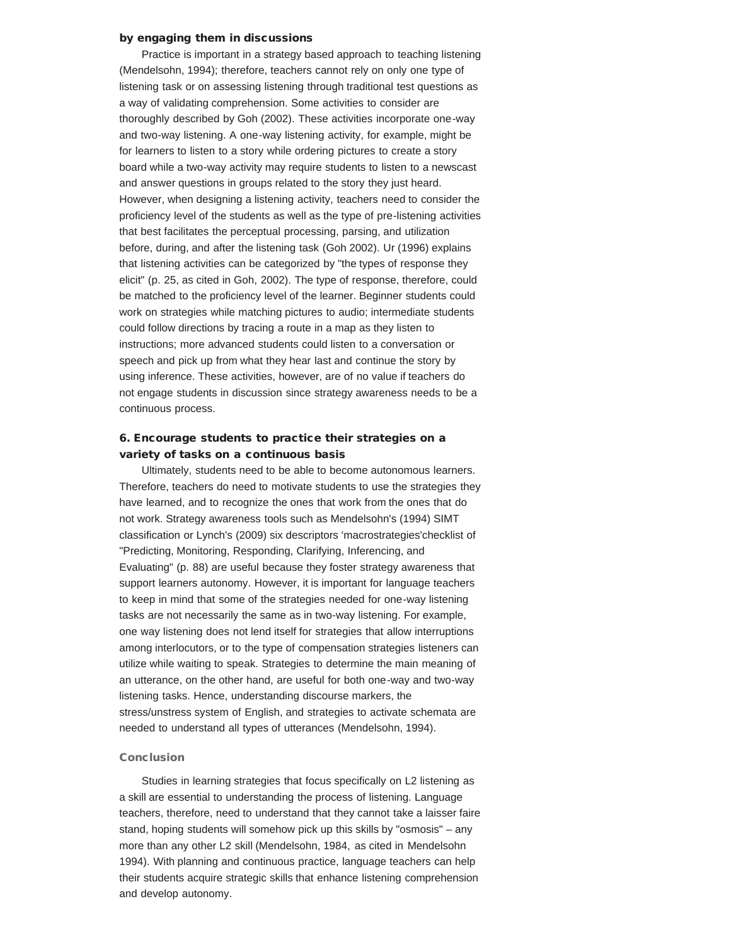## by engaging them in discussions

Practice is important in a strategy based approach to teaching listening (Mendelsohn, 1994); therefore, teachers cannot rely on only one type of listening task or on assessing listening through traditional test questions as a way of validating comprehension. Some activities to consider are thoroughly described by Goh (2002). These activities incorporate one-way and two-way listening. A one-way listening activity, for example, might be for learners to listen to a story while ordering pictures to create a story board while a two-way activity may require students to listen to a newscast and answer questions in groups related to the story they just heard. However, when designing a listening activity, teachers need to consider the proficiency level of the students as well as the type of pre-listening activities that best facilitates the perceptual processing, parsing, and utilization before, during, and after the listening task (Goh 2002). Ur (1996) explains that listening activities can be categorized by "the types of response they elicit" (p. 25, as cited in Goh, 2002). The type of response, therefore, could be matched to the proficiency level of the learner. Beginner students could work on strategies while matching pictures to audio; intermediate students could follow directions by tracing a route in a map as they listen to instructions; more advanced students could listen to a conversation or speech and pick up from what they hear last and continue the story by using inference. These activities, however, are of no value if teachers do not engage students in discussion since strategy awareness needs to be a continuous process.

# 6. Encourage students to practice their strategies on a variety of tasks on a continuous basis

Ultimately, students need to be able to become autonomous learners. Therefore, teachers do need to motivate students to use the strategies they have learned, and to recognize the ones that work from the ones that do not work. Strategy awareness tools such as Mendelsohn's (1994) SIMT classification or Lynch's (2009) six descriptors 'macrostrategies'checklist of "Predicting, Monitoring, Responding, Clarifying, Inferencing, and Evaluating" (p. 88) are useful because they foster strategy awareness that support learners autonomy. However, it is important for language teachers to keep in mind that some of the strategies needed for one-way listening tasks are not necessarily the same as in two-way listening. For example, one way listening does not lend itself for strategies that allow interruptions among interlocutors, or to the type of compensation strategies listeners can utilize while waiting to speak. Strategies to determine the main meaning of an utterance, on the other hand, are useful for both one-way and two-way listening tasks. Hence, understanding discourse markers, the stress/unstress system of English, and strategies to activate schemata are needed to understand all types of utterances (Mendelsohn, 1994).

#### Conclusion

Studies in learning strategies that focus specifically on L2 listening as a skill are essential to understanding the process of listening. Language teachers, therefore, need to understand that they cannot take a laisser faire stand, hoping students will somehow pick up this skills by "osmosis" – any more than any other L2 skill (Mendelsohn, 1984, as cited in Mendelsohn 1994). With planning and continuous practice, language teachers can help their students acquire strategic skills that enhance listening comprehension and develop autonomy.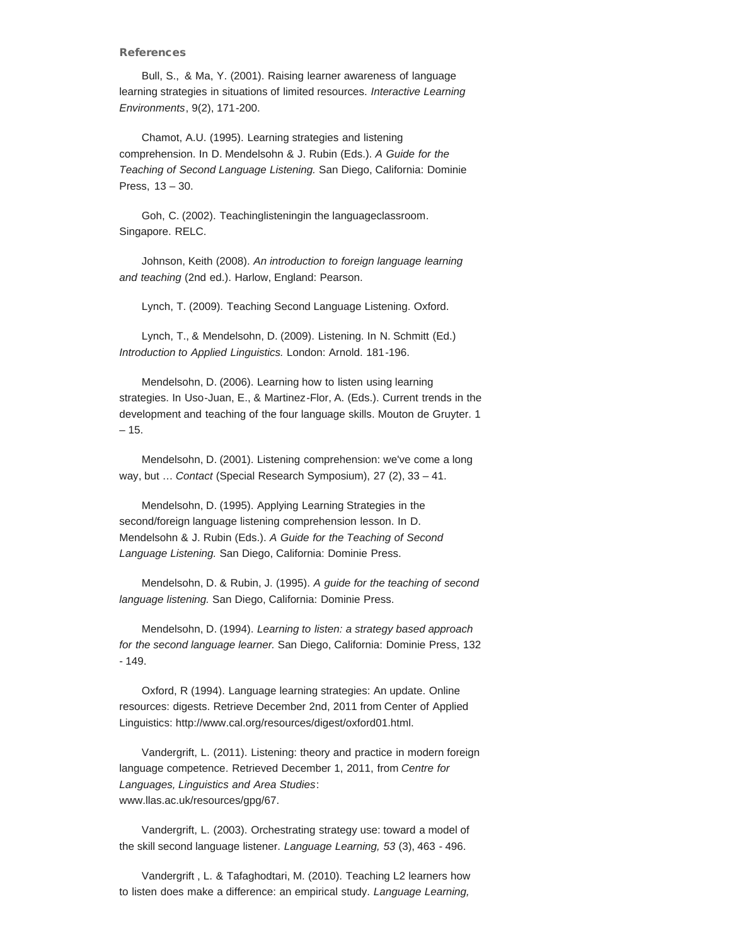#### References

Bull, S., & Ma, Y. (2001). Raising learner awareness of language learning strategies in situations of limited resources. *Interactive Learning Environments*, 9(2), 171-200.

Chamot, A.U. (1995). Learning strategies and listening comprehension. In D. Mendelsohn & J. Rubin (Eds.). *A Guide for the Teaching of Second Language Listening.* San Diego, California: Dominie Press, 13 – 30.

Goh, C. (2002). Teachinglisteningin the languageclassroom*.* Singapore. RELC.

Johnson, Keith (2008). *An introduction to foreign language learning and teaching* (2nd ed.). Harlow, England: Pearson.

Lynch, T. (2009). Teaching Second Language Listening. Oxford.

Lynch, T., & Mendelsohn, D. (2009). Listening. In N. Schmitt (Ed.) *Introduction to Applied Linguistics.* London: Arnold. 181-196.

Mendelsohn, D. (2006). Learning how to listen using learning strategies. In Uso-Juan, E., & Martinez-Flor, A. (Eds.). Current trends in the development and teaching of the four language skills. Mouton de Gruyter. 1 – 15.

Mendelsohn, D. (2001). Listening comprehension: we've come a long way, but … *Contact* (Special Research Symposium), 27 (2), 33 – 41.

Mendelsohn, D. (1995). Applying Learning Strategies in the second/foreign language listening comprehension lesson. In D. Mendelsohn & J. Rubin (Eds.). *A Guide for the Teaching of Second Language Listening.* San Diego, California: Dominie Press.

Mendelsohn, D. & Rubin, J. (1995). *A guide for the teaching of second language listening.* San Diego, California: Dominie Press.

Mendelsohn, D. (1994). *Learning to listen: a strategy based approach for the second language learner.* San Diego, California: Dominie Press, 132 - 149.

Oxford, R (1994). Language learning strategies: An update. Online resources: digests. Retrieve December 2nd, 2011 from Center of Applied Linguistics: http://www.cal.org/resources/digest/oxford01.html.

Vandergrift, L. (2011). Listening: theory and practice in modern foreign language competence*.* Retrieved December 1, 2011, from *Centre for Languages, Linguistics and Area Studies*: www.llas.ac.uk/resources/gpg/67.

Vandergrift, L. (2003). Orchestrating strategy use: toward a model of the skill second language listener. *Language Learning, 53* (3), 463 - 496.

Vandergrift , L. & Tafaghodtari, M. (2010). Teaching L2 learners how to listen does make a difference: an empirical study. *Language Learning,*